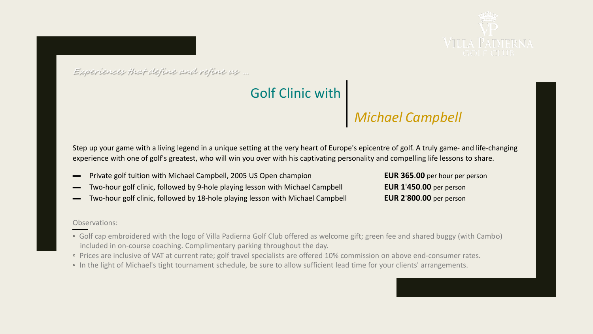

Experiences that define and refine us …

## Golf Clinic with

# *Michael Campbell*

Step up your game with a living legend in a unique setting at the very heart of Europe's epicentre of golf. A truly game- and life-changing experience with one of golf's greatest, who will win you over with his captivating personality and compelling life lessons to share.

- ▬ Private golf tuition with Michael Campbell, 2005 US Open champion **EUR 365**.**00** per hour per person
- ▬ Two-hour golf clinic, followed by 9-hole playing lesson with Michael Campbell **EUR 1**'**450**.**00** per person
- ▬ Two-hour golf clinic, followed by 18-hole playing lesson with Michael Campbell **EUR 2**'**800**.**00** per person

#### Observations:

- Golf cap embroidered with the logo of Villa Padierna Golf Club offered as welcome gift; green fee and shared buggy (with Cambo) included in on-course coaching. Complimentary parking throughout the day.
- Prices are inclusive of VAT at current rate; golf travel specialists are offered 10% commission on above end-consumer rates.
- In the light of Michael's tight tournament schedule, be sure to allow sufficient lead time for your clients' arrangements.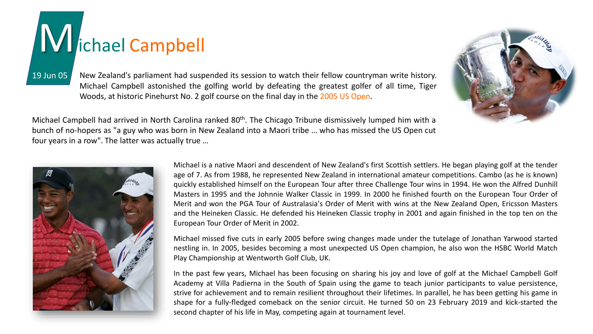# Michael Campbell

19 Jun 05 New Zealand's parliament had suspended its session to watch their fellow countryman write history. Michael Campbell astonished the golfing world by defeating the greatest golfer of all time, Tiger Woods, at historic Pinehurst No. 2 golf course on the final day in the 2005 US Open.

Michael Campbell had arrived in North Carolina ranked 80<sup>th</sup>. The Chicago Tribune dismissively lumped him with a bunch of no-hopers as "a guy who was born in New Zealand into a Maori tribe … who has missed the US Open cut four years in a row". The latter was actually true …



Michael is a native Maori and descendent of New Zealand's first Scottish settlers. He began playing golf at the tender age of 7. As from 1988, he represented New Zealand in international amateur competitions. Cambo (as he is known) quickly established himself on the European Tour after three Challenge Tour wins in 1994. He won the Alfred Dunhill Masters in 1995 and the Johnnie Walker Classic in 1999. In 2000 he finished fourth on the European Tour Order of Merit and won the PGA Tour of Australasia's Order of Merit with wins at the New Zealand Open, Ericsson Masters and the Heineken Classic. He defended his Heineken Classic trophy in 2001 and again finished in the top ten on the European Tour Order of Merit in 2002.

Michael missed five cuts in early 2005 before swing changes made under the tutelage of Jonathan Yarwood started nestling in. In 2005, besides becoming a most unexpected US Open champion, he also won the HSBC World Match Play Championship at Wentworth Golf Club, UK.

In the past few years, Michael has been focusing on sharing his joy and love of golf at the Michael Campbell Golf Academy at Villa Padierna in the South of Spain using the game to teach junior participants to value persistence, strive for achievement and to remain resilient throughout their lifetimes. In parallel, he has been getting his game in shape for a fully-fledged comeback on the senior circuit. He turned 50 on 23 February 2019 and kick-started the second chapter of his life in May, competing again at tournament level.